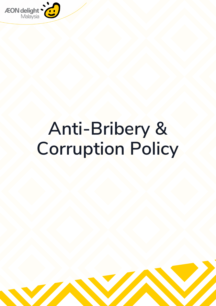

# **Anti-Bribery & Corruption Policy**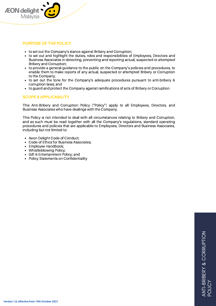

# **PURPOSE OF THE POLICY**

- to set out the Company's stance against Bribery and Corruption;
- to set out and highlight the duties, roles and responsibilities of Employees, Directors and  $\bullet$ Business Associates in detecting, preventing and reporting actual, suspected or attempted Bribery and Corruption;
- to provide a general guidance to the public on the Company's policies and procedures, to enable them to make reports of any actual, suspected or attempted Bribery or Corruption to the Company;
- to set out the tone for the Company's adequate procedures pursuant to anti-bribery & corruption laws; and
- to guard and protect the Company against ramifications of acts of Bribery or Corruption.

# **SCOPE & APPLICABILITY**

This Anti-Bribery and Corruption Policy ("Policy") apply to all Employees, Directors, and Business Associates who have dealings with the Company.

This Policy is not intended to deal with all circumstances relating to Bribery and Corruption, and as such must be read together with all the Company's regulations, standard operating procedures and policies that are applicable to Employees, Directors and Business Associates, including but not limited to:

- Aeon Delight Code of Conduct;  $\bullet$
- Code of Ethics for Business Associates;
- Employee Handbook;
- Whistleblowing Policy;
- Gift & Entertainment Policy; and
- Policy Statements on Confidentiality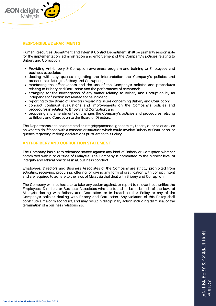

## **RESPONSIBLE DEPARTMENTS**

Human Resources Department and Internal Control Department shall be primarily responsible for the implementation, administration and enforcement of the Company's policies relating to Bribery and Corruption:

- Providing Anti-bribery & Corruption awareness program and training to Employees and business associates;
- dealing with any queries regarding the interpretation the Company's policies and procedures relating to Bribery and Corruption;
- monitoring the effectiveness and the use of the Company's policies and procedures relating to Bribery and Corruption and the performance of personnel;
- arranging for the investigation of any matter relating to Bribery and Corruption by an independent function not related to the incident;
- reporting to the Board of Directors regarding issues concerning Bribery and Corruption;
- conduct continual evaluations and improvements on the Company's policies and procedures in relation to Bribery and Corruption; and
- proposing any amendments or changes the Company's policies and procedures relating to Bribery and Corruption to the Board of Directors.

The Departments can be contacted at [integrity@aeondelight.com.my](mailto:integrity@aeondelight.com.my/) for any queries or advice on what to do if faced with a concern or situation which could involve Bribery or Corruption, or queries regarding making declarations pursuant to this Policy.

#### **ANTI-BRIBERY AND CORRUPTION STATEMENT**

The Company has a zero tolerance stance against any kind of Bribery or Corruption whether committed within or outside of Malaysia. The Company is committed to the highest level of integrity and ethical practices in all business conduct.

Employees, Directors and Business Associates of the Company are strictly prohibited from soliciting, receiving, procuring, offering, or giving any form of gratification with corrupt intent and are required to adhere to the laws of Malaysia that deal with Bribery and Corruption.

The Company will not hesitate to take any action against, or report to relevant authorities the Employees, Directors or Business Associates who are found to be in breach of the laws of Malaysia dealing with Bribery and Corruption, or in breach of this Policy or any of the Company's policies dealing with Bribery and Corruption. Any violation of this Policy shall constitute a major misconduct, and may result in disciplinary action including dismissal or the termination of a business relationship.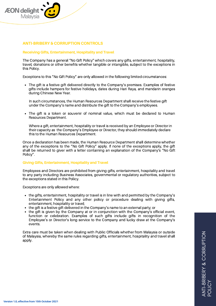

# **ANTI-BRIBERY & CORRUPTION CONTROLS**

## **Receiving Gifts, Entertainment, Hospitality and Travel**

The Company has a general "No Gift Policy" which covers any gifts, entertainment, hospitality, travel, donations or other benefits whether tangible or intangible, subject to the exceptions in this Policy.

Exceptions to this "No Gift Policy" are only allowed in the following limited circumstances:

The gift is a festive gift delivered directly to the Company's premises. Examples of festive gifts include hampers for festive holidays, dates during Hari Raya, and mandarin oranges during Chinese New Year.

In such circumstances, the Human Resources Department shall receive the festive gift under the Company's name and distribute the gift to the Company's employees.

The gift is a token or souvenir of nominal value, which must be declared to Human Resources Department.

Where a gift, entertainment, hospitality or travel is received by an Employee or Director in their capacity as the Company's Employee or Director, they should immediately declare this to the Human Resources Department.

Once a declaration has been made, the Human Resource Department shall determine whether any of the exceptions to the "No Gift Policy" apply. If none of the exceptions apply, the gift shall be returned to giver with a letter containing an explanation of the Company's "No Gift Policy".

#### **Giving Gifts, Entertainment, Hospitality and Travel**

Employees and Directors are prohibited from giving gifts, entertainment, hospitality and travel to any party including Business Associates, governmental or regulatory authorities, subject to the exceptions stated in this Policy.

Exceptions are only allowed where:

- the gifts, entertainment, hospitality or travel is in line with and permitted by the Company's Entertainment Policy and any other policy or procedure dealing with giving gifts, entertainment, hospitality or travel;
- the gift is a festive gift delivered in the Company's name to an external party; or
- the gift is given by the Company at or in conjunction with the Company's official event, function or celebration. Examples of such gifts include gifts in recognition of the Employee's or Director's long service to the Company and lucky draw at the Company's events.

Extra care must be taken when dealing with Public Officials whether from Malaysia or outside of Malaysia, whereby the same rules regarding gifts, entertainment, hospitality and travel shall apply.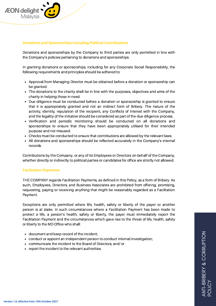

# **Donations and Sponsorships including Political Contributions**

Donations and sponsorships by the Company to third parties are only permitted in line with the Company's policies pertaining to donations and sponsorships.

In granting donations or sponsorships, including for any Corporate Social Responsibility, the following requirements and principles should be adhered to:

- Approval from Managing Director must be obtained before a donation or sponsorship can be granted.
- The donations to the charity shall be in line with the purposes, objectives and aims of the charity in helping those in need.
- Due diligence must be conducted before a donation or sponsorship is granted to ensure that it is appropriately granted and not an indirect form of Bribery. The nature of the activity, identity, reputation of the recipient, any Conflicts of Interest with the Company, and the legality of the initiative should be considered as part of the due diligence process.
- Verification and periodic monitoring should be conducted on all donations and sponsorships to ensure that they have been appropriately utilised for their intended purpose and not misused.
- Checks must be conducted to ensure that contributions are allowed by the relevant laws.
- $\bullet$ All donations and sponsorships should be reflected accurately in the Company's internal records.

Contributions by the Company, or any of its Employees or Directors on behalf of the Company, whether directly or indirectly to political parties or candidates for office are strictly not allowed.

#### **Facilitation Payments**

THE COMPANY regards Facilitation Payments, as defined in this Policy, as a form of Bribery. As such, Employees, Directors, and Business Associates are prohibited from offering, promising, requesting, paying or receiving anything that might be reasonably regarded as a Facilitation Payment.

Exceptions are only permitted where life, health, safety or liberty of the payer or another person is at stake. In such circumstances where a Facilitation Payment has been made to protect a life, a person's health, safety or liberty, the payer must immediately report the Facilitation Payment and the circumstances which gave rise to the threat of life, health, safety or liberty to the MD Office who shall:

- document and keep record of the incident;
- conduct or appoint an independent person to conduct internal investigation;
- communicate the incident to the Board of Directors; and/ or
- report the incident to the relevant authorities.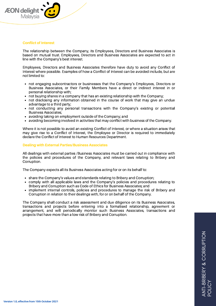

#### **Conflict of Interest**

The relationship between the Company, its Employees, Directors and Business Associates is based on mutual trust. Employees, Directors and Business Associates are expected to act in line with the Company's best interest.

Employees, Directors and Business Associates therefore have duty to avoid any Conflict of Interest where possible. Examples of how a Conflict of Interest can be avoided include, but are not limited to:

- not engaging subcontractors or businesses that the Company's Employees, Directors or  $\bullet$ Business Associates, or their Family Members have a direct or indirect interest in or personal relationship with;
- not buying shares in a company that has an existing relationship with the Company;
- not disclosing any information obtained in the course of work that may give an undue advantage to a third party;
- not conducting any personal transactions with the Company's existing or potential Business Associates;
- avoiding taking on employment outside of the Company; and
- avoiding becoming involved in activities that may conflict with business of the Company.

Where it is not possible to avoid an existing Conflict of Interest, or where a situation arises that may give rise to a Conflict of Interest, the Employee or Director is required to immediately declare the Conflict of Interest to Human Resources Department.

#### **Dealing with External Parties/Business Associates**

All dealings with external parties /Business Associates must be carried out in compliance with the policies and procedures of the Company, and relevant laws relating to Bribery and Corruption.

The Company expects all its Business Associates acting for or on its behalf to:

- share the Company's values and standards relating to Bribery and Corruption;
- comply with all applicable laws and the Company's policies and procedures relating to Bribery and Corruption such as Code of Ethics for Business Associates; and
- implement internal controls, policies and procedures to manage the risk of Bribery and  $\bullet$ Corruption in relation to their dealings with, for or on behalf of the Company.

The Company shall conduct a risk assessment and due diligence on its Business Associates, transactions and projects before entering into a formalised relationship, agreement or arrangement, and will periodically monitor such Business Associates, transactions and projects that have more than a low risk of Bribery and Corruption.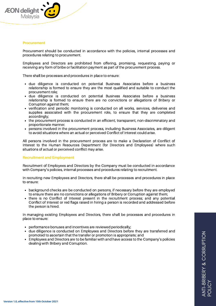

#### **Procurement**

Procurement should be conducted in accordance with the policies, internal processes and procedures relating to procurement.

Employees and Directors are prohibited from offering, promising, requesting, paying or receiving any form of bribe or facilitation payment as part of the procurement process.

There shall be processes and procedures in place to ensure:

- due diligence is conducted on potential Business Associates before a business relationship is formed to ensure they are the most qualified and suitable to conduct the procurement role;
- due diligence is conducted on potential Business Associates before a business relationship is formed to ensure there are no convictions or allegations of Bribery or Corruption against them;
- verification and periodic monitoring is conducted on all works, services, deliveries and supplies associated with the procurement role, to ensure that they are completed accordingly;
- the procurement process is conducted in an efficient, transparent, non-discriminatory and proportionate manner.
- persons involved in the procurement process, including Business Associates, are diligent to avoid situations where an actual or perceived Conflict of Interest could arise.

All persons involved in the procurement process are to make a Declaration of Conflict of Interest to the Human Resources Department (for Directors and Employees) where such situations of actual or perceived conflict may arise.

# **Recruitment and Employment**

Recruitment of Employees and Directors by the Company must be conducted in accordance with Company's policies, internal processes and procedures relating to recruitment.

In recruiting new Employees and Directors, there shall be processes and procedures in place to ensure:

- background checks are be conducted on persons, if necessary before they are employed  $\bullet$ to ensure there are no convictions or allegations of Bribery or Corruption against them;
- there is no Conflict of Interest present in the recruitment process; and any potential Conflict of Interest or red flags raised in hiring a person is recorded and addressed before the person is hired.

In managing existing Employees and Directors, there shall be processes and procedures in place to ensure:

- performance bonuses and incentives are reviewed periodically;
- due diligence is conducted on Employees and Directors before they are transferred and promoted to ascertain that the transfer or promotion is appropriate; and
- $\bullet$ Employees and Directors are to be familiar with and have access to the Company's policies dealing with Bribery and Corruption.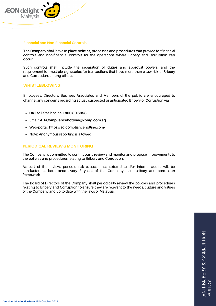

#### **Financial and Non-Financial Controls**

The Company shall have in place policies, processes and procedures that provide for financial controls and non-financial controls for the operations where Bribery and Corruption can occur.

Such controls shall include the separation of duties and approval powers, and the requirement for multiple signatories for transactions that have more than a low risk of Bribery and Corruption, among others.

# **WHISTLEBLOWING**

Employees, Directors, Business Associates and Members of the public are encouraged to channel any concerns regarding actual, suspected or anticipated Bribery or Corruption via:

- Call: toll-free hotline **1800 80 6958**
- Email: **AD-Compliancehotline@kpmg.com.sg**
- Web-portal: <https://ad-compliancehotline.com/>
- Note: Anonymous reporting is allowed

# **PERIODICAL REVIEW & MONITORING**

The Company is committed to continuously review and monitor and propose improvements to the policies and procedures relating to Bribery and Corruption.

As part of the review, periodic risk assessments, external and/or internal audits will be conducted at least once every 3 years of the Company's anti-bribery and corruption framework.

The Board of Directors of the Company shall periodically review the policies and procedures relating to Bribery and Corruption to ensure they are relevant to the needs, culture and values of the Company and up to date with the laws of Malaysia.